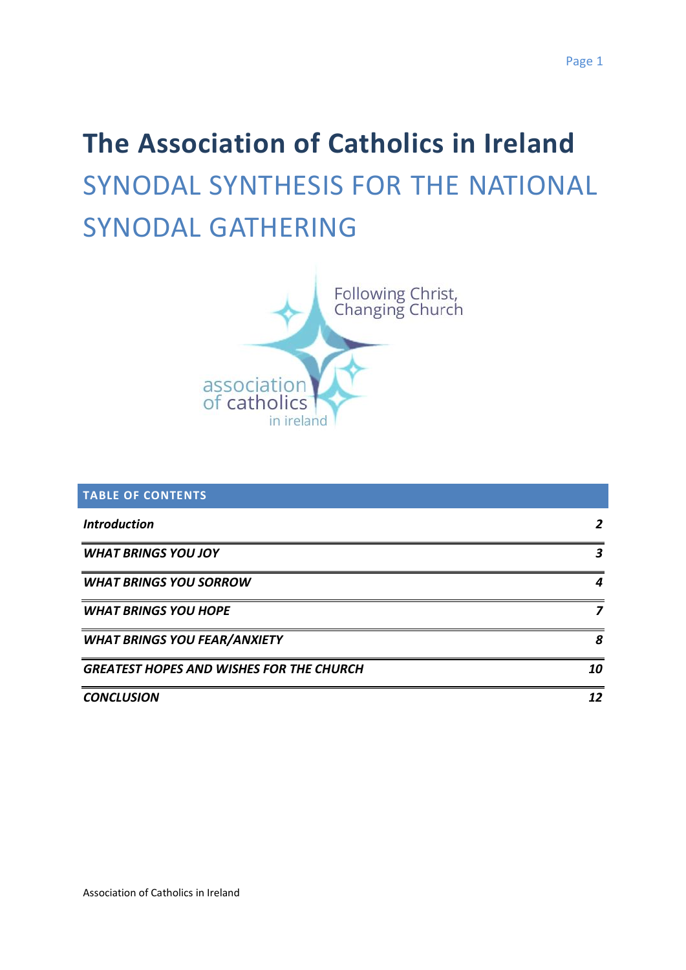# **The Association of Catholics in Ireland** SYNODAL SYNTHESIS FOR THE NATIONAL SYNODAL GATHERING



| <b>TABLE OF CONTENTS</b>                        |    |
|-------------------------------------------------|----|
| <b>Introduction</b>                             |    |
| <b>WHAT BRINGS YOU JOY</b>                      |    |
| <b>WHAT BRINGS YOU SORROW</b>                   |    |
| <b>WHAT BRINGS YOU HOPE</b>                     |    |
| <b>WHAT BRINGS YOU FEAR/ANXIETY</b>             | 8  |
| <b>GREATEST HOPES AND WISHES FOR THE CHURCH</b> | 10 |
| <b>CONCLUSION</b>                               | 12 |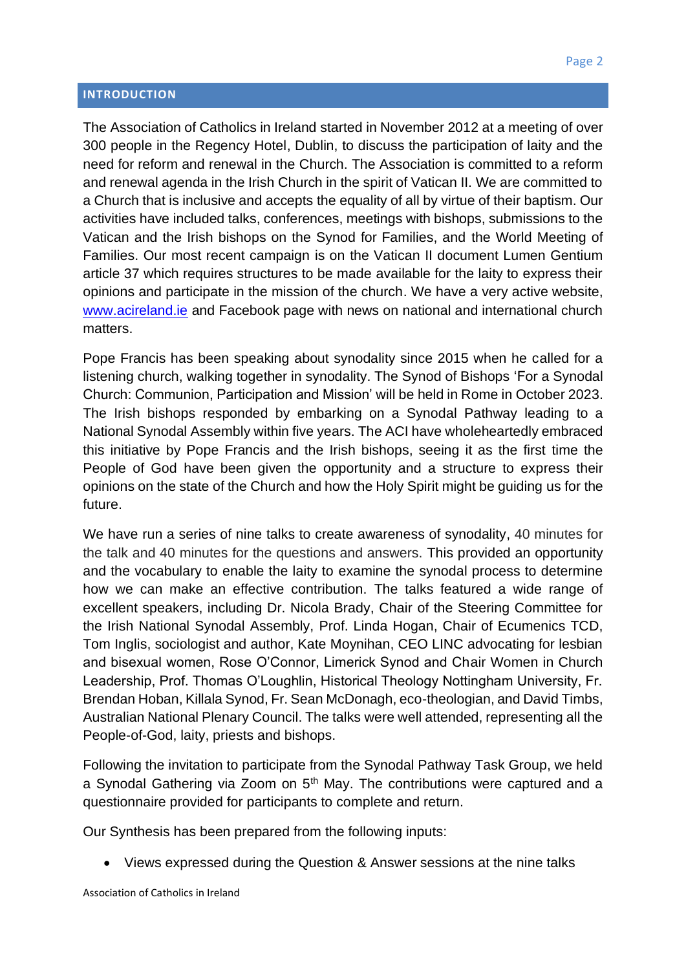#### <span id="page-1-0"></span>**INTRODUCTION**

The Association of Catholics in Ireland started in November 2012 at a meeting of over 300 people in the Regency Hotel, Dublin, to discuss the participation of laity and the need for reform and renewal in the Church. The Association is committed to a reform and renewal agenda in the Irish Church in the spirit of Vatican II. We are committed to a Church that is inclusive and accepts the equality of all by virtue of their baptism. Our activities have included talks, conferences, meetings with bishops, submissions to the Vatican and the Irish bishops on the Synod for Families, and the World Meeting of Families. Our most recent campaign is on the Vatican II document Lumen Gentium article 37 which requires structures to be made available for the laity to express their opinions and participate in the mission of the church. We have a very active website, [www.acireland.ie](http://www.acireland.ie/) and Facebook page with news on national and international church matters.

Pope Francis has been speaking about synodality since 2015 when he called for a listening church, walking together in synodality. The Synod of Bishops 'For a Synodal Church: Communion, Participation and Mission' will be held in Rome in October 2023. The Irish bishops responded by embarking on a Synodal Pathway leading to a National Synodal Assembly within five years. The ACI have wholeheartedly embraced this initiative by Pope Francis and the Irish bishops, seeing it as the first time the People of God have been given the opportunity and a structure to express their opinions on the state of the Church and how the Holy Spirit might be guiding us for the future.

We have run a series of nine talks to create awareness of synodality, 40 minutes for the talk and 40 minutes for the questions and answers. This provided an opportunity and the vocabulary to enable the laity to examine the synodal process to determine how we can make an effective contribution. The talks featured a wide range of excellent speakers, including Dr. Nicola Brady, Chair of the Steering Committee for the Irish National Synodal Assembly, Prof. Linda Hogan, Chair of Ecumenics TCD, Tom Inglis, sociologist and author, Kate Moynihan, CEO LINC advocating for lesbian and bisexual women, Rose O'Connor, Limerick Synod and Chair Women in Church Leadership, Prof. Thomas O'Loughlin, Historical Theology Nottingham University, Fr. Brendan Hoban, Killala Synod, Fr. Sean McDonagh, eco-theologian, and David Timbs, Australian National Plenary Council. The talks were well attended, representing all the People-of-God, laity, priests and bishops.

Following the invitation to participate from the Synodal Pathway Task Group, we held a Synodal Gathering via Zoom on  $5<sup>th</sup>$  May. The contributions were captured and a questionnaire provided for participants to complete and return.

Our Synthesis has been prepared from the following inputs:

• Views expressed during the Question & Answer sessions at the nine talks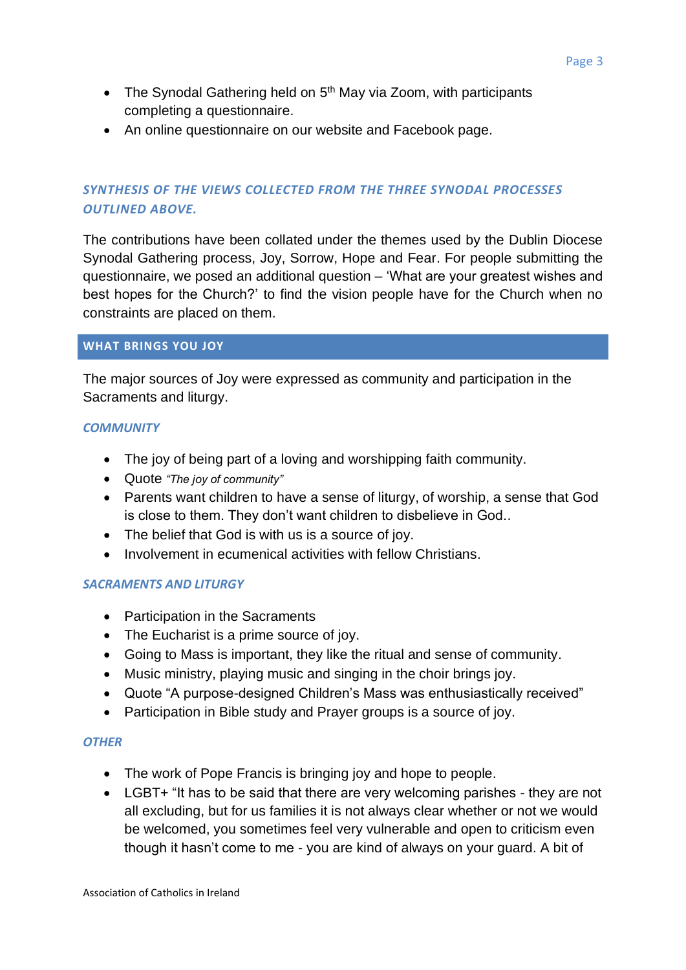- The Synodal Gathering held on  $5<sup>th</sup>$  May via Zoom, with participants completing a questionnaire.
- An online questionnaire on our website and Facebook page.

# *SYNTHESIS OF THE VIEWS COLLECTED FROM THE THREE SYNODAL PROCESSES OUTLINED ABOVE.*

The contributions have been collated under the themes used by the Dublin Diocese Synodal Gathering process, Joy, Sorrow, Hope and Fear. For people submitting the questionnaire, we posed an additional question – 'What are your greatest wishes and best hopes for the Church?' to find the vision people have for the Church when no constraints are placed on them.

#### <span id="page-2-0"></span>**WHAT BRINGS YOU JOY**

The major sources of Joy were expressed as community and participation in the Sacraments and liturgy.

#### *COMMUNITY*

- The joy of being part of a loving and worshipping faith community.
- Quote *"The joy of community"*
- Parents want children to have a sense of liturgy, of worship, a sense that God is close to them. They don't want children to disbelieve in God..
- The belief that God is with us is a source of joy.
- Involvement in ecumenical activities with fellow Christians.

## *SACRAMENTS AND LITURGY*

- Participation in the Sacraments
- The Eucharist is a prime source of joy.
- Going to Mass is important, they like the ritual and sense of community.
- Music ministry, playing music and singing in the choir brings joy.
- Quote "A purpose-designed Children's Mass was enthusiastically received"
- Participation in Bible study and Prayer groups is a source of joy.

#### *OTHER*

- The work of Pope Francis is bringing joy and hope to people.
- LGBT+ "It has to be said that there are very welcoming parishes they are not all excluding, but for us families it is not always clear whether or not we would be welcomed, you sometimes feel very vulnerable and open to criticism even though it hasn't come to me - you are kind of always on your guard. A bit of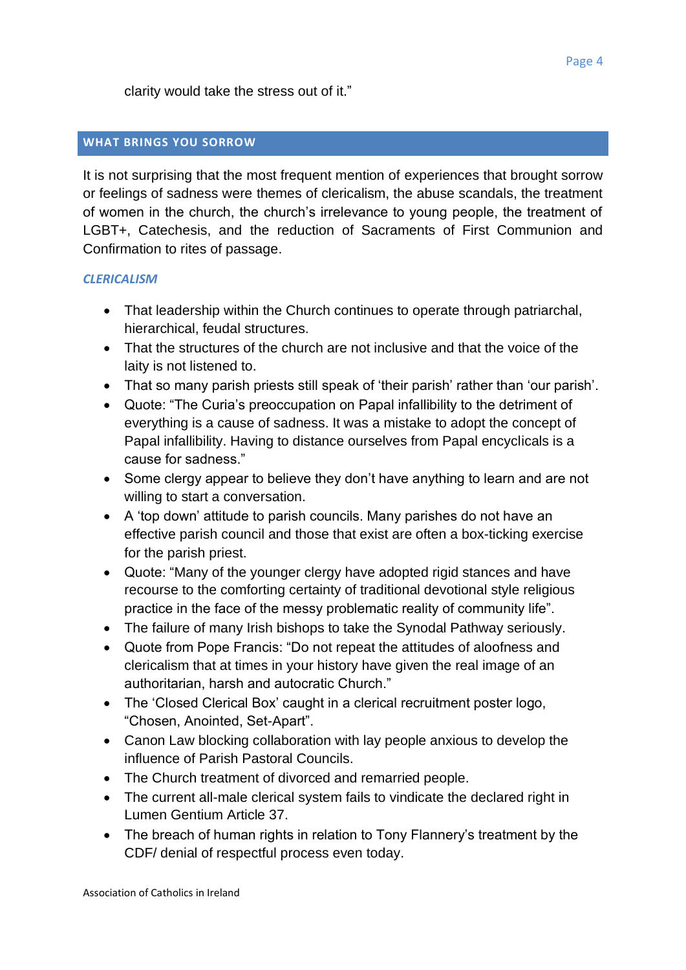clarity would take the stress out of it."

# <span id="page-3-0"></span>**WHAT BRINGS YOU SORROW**

It is not surprising that the most frequent mention of experiences that brought sorrow or feelings of sadness were themes of clericalism, the abuse scandals, the treatment of women in the church, the church's irrelevance to young people, the treatment of LGBT+, Catechesis, and the reduction of Sacraments of First Communion and Confirmation to rites of passage.

## *CLERICALISM*

- That leadership within the Church continues to operate through patriarchal, hierarchical, feudal structures.
- That the structures of the church are not inclusive and that the voice of the laity is not listened to.
- That so many parish priests still speak of 'their parish' rather than 'our parish'.
- Quote: "The Curia's preoccupation on Papal infallibility to the detriment of everything is a cause of sadness. It was a mistake to adopt the concept of Papal infallibility. Having to distance ourselves from Papal encyclicals is a cause for sadness."
- Some clergy appear to believe they don't have anything to learn and are not willing to start a conversation.
- A 'top down' attitude to parish councils. Many parishes do not have an effective parish council and those that exist are often a box-ticking exercise for the parish priest.
- Quote: "Many of the younger clergy have adopted rigid stances and have recourse to the comforting certainty of traditional devotional style religious practice in the face of the messy problematic reality of community life".
- The failure of many Irish bishops to take the Synodal Pathway seriously.
- Quote from Pope Francis: "Do not repeat the attitudes of aloofness and clericalism that at times in your history have given the real image of an authoritarian, harsh and autocratic Church."
- The 'Closed Clerical Box' caught in a clerical recruitment poster logo, "Chosen, Anointed, Set-Apart".
- Canon Law blocking collaboration with lay people anxious to develop the influence of Parish Pastoral Councils.
- The Church treatment of divorced and remarried people.
- The current all-male clerical system fails to vindicate the declared right in Lumen Gentium Article 37.
- The breach of human rights in relation to Tony Flannery's treatment by the CDF/ denial of respectful process even today.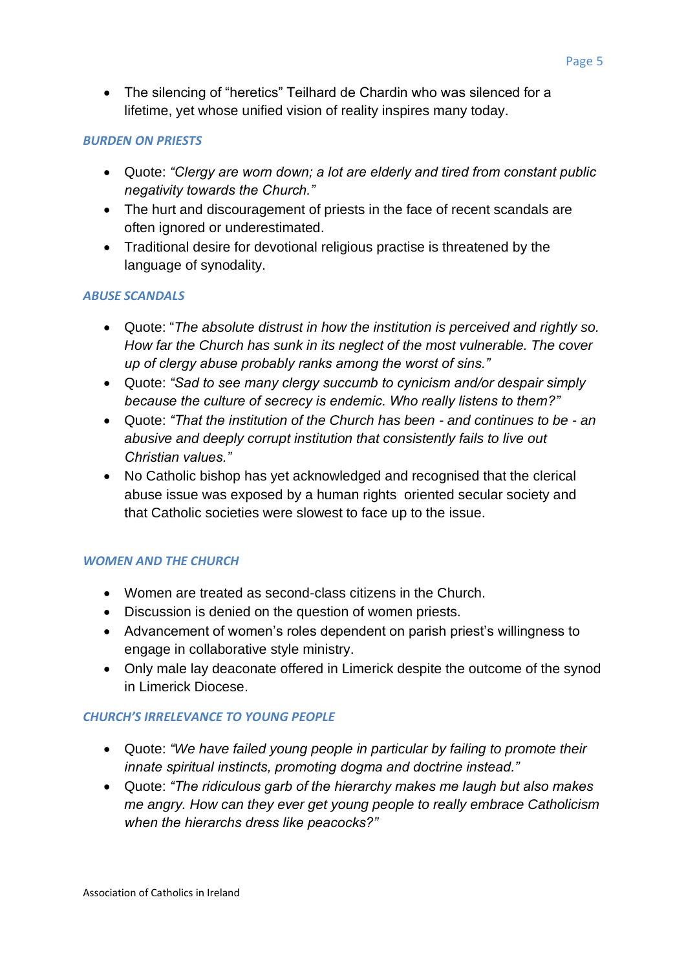• The silencing of "heretics" Teilhard de Chardin who was silenced for a lifetime, yet whose unified vision of reality inspires many today.

#### *BURDEN ON PRIESTS*

- Quote: *"Clergy are worn down; a lot are elderly and tired from constant public negativity towards the Church."*
- The hurt and discouragement of priests in the face of recent scandals are often ignored or underestimated.
- Traditional desire for devotional religious practise is threatened by the language of synodality.

#### *ABUSE SCANDALS*

- Quote: "*The absolute distrust in how the institution is perceived and rightly so. How far the Church has sunk in its neglect of the most vulnerable. The cover up of clergy abuse probably ranks among the worst of sins."*
- Quote: *"Sad to see many clergy succumb to cynicism and/or despair simply because the culture of secrecy is endemic. Who really listens to them?"*
- Quote: *"That the institution of the Church has been - and continues to be - an abusive and deeply corrupt institution that consistently fails to live out Christian values."*
- No Catholic bishop has yet acknowledged and recognised that the clerical abuse issue was exposed by a human rights oriented secular society and that Catholic societies were slowest to face up to the issue.

## *WOMEN AND THE CHURCH*

- Women are treated as second-class citizens in the Church.
- Discussion is denied on the question of women priests.
- Advancement of women's roles dependent on parish priest's willingness to engage in collaborative style ministry.
- Only male lay deaconate offered in Limerick despite the outcome of the synod in Limerick Diocese.

## *CHURCH'S IRRELEVANCE TO YOUNG PEOPLE*

- Quote: *"We have failed young people in particular by failing to promote their innate spiritual instincts, promoting dogma and doctrine instead."*
- Quote: *"The ridiculous garb of the hierarchy makes me laugh but also makes me angry. How can they ever get young people to really embrace Catholicism when the hierarchs dress like peacocks?"*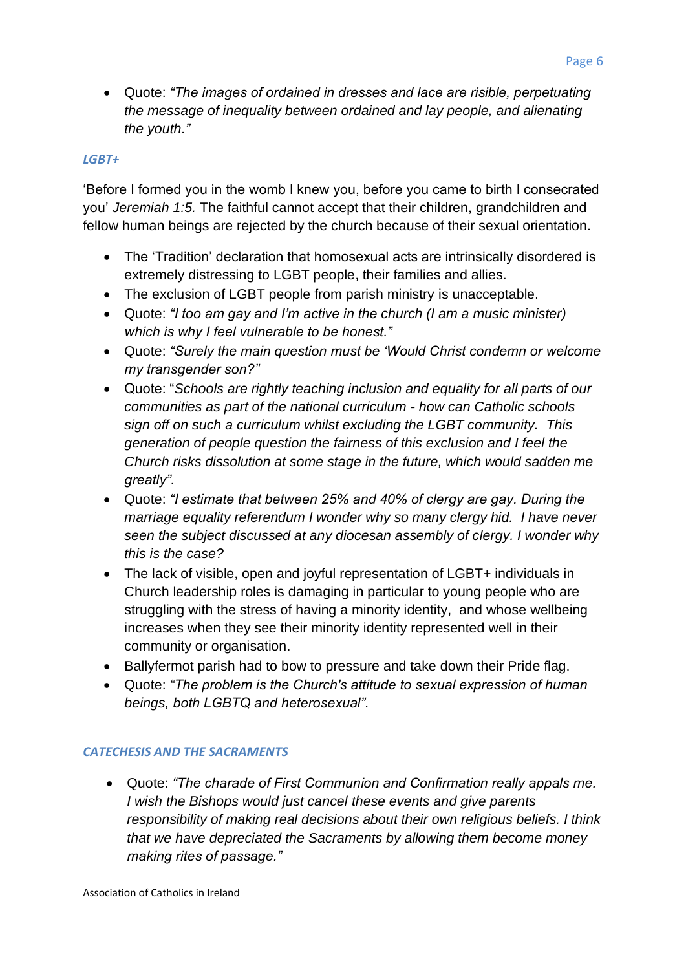• Quote: *"The images of ordained in dresses and lace are risible, perpetuating the message of inequality between ordained and lay people, and alienating the youth."* 

#### *LGBT+*

'Before I formed you in the womb I knew you, before you came to birth I consecrated you' *Jeremiah 1:5.* The faithful cannot accept that their children, grandchildren and fellow human beings are rejected by the church because of their sexual orientation.

- The 'Tradition' declaration that homosexual acts are intrinsically disordered is extremely distressing to LGBT people, their families and allies.
- The exclusion of LGBT people from parish ministry is unacceptable.
- Quote: *"I too am gay and I'm active in the church (I am a music minister) which is why I feel vulnerable to be honest."*
- Quote: *"Surely the main question must be 'Would Christ condemn or welcome my transgender son?"*
- Quote: "*Schools are rightly teaching inclusion and equality for all parts of our communities as part of the national curriculum - how can Catholic schools sign off on such a curriculum whilst excluding the LGBT community. This generation of people question the fairness of this exclusion and I feel the Church risks dissolution at some stage in the future, which would sadden me greatly".*
- Quote: *"I estimate that between 25% and 40% of clergy are gay. During the marriage equality referendum I wonder why so many clergy hid. I have never seen the subject discussed at any diocesan assembly of clergy. I wonder why this is the case?*
- The lack of visible, open and joyful representation of LGBT+ individuals in Church leadership roles is damaging in particular to young people who are struggling with the stress of having a minority identity, and whose wellbeing increases when they see their minority identity represented well in their community or organisation.
- Ballyfermot parish had to bow to pressure and take down their Pride flag.
- Quote: *"The problem is the Church's attitude to sexual expression of human beings, both LGBTQ and heterosexual".*

#### *CATECHESIS AND THE SACRAMENTS*

• Quote: *"The charade of First Communion and Confirmation really appals me. I wish the Bishops would just cancel these events and give parents responsibility of making real decisions about their own religious beliefs. I think that we have depreciated the Sacraments by allowing them become money making rites of passage."*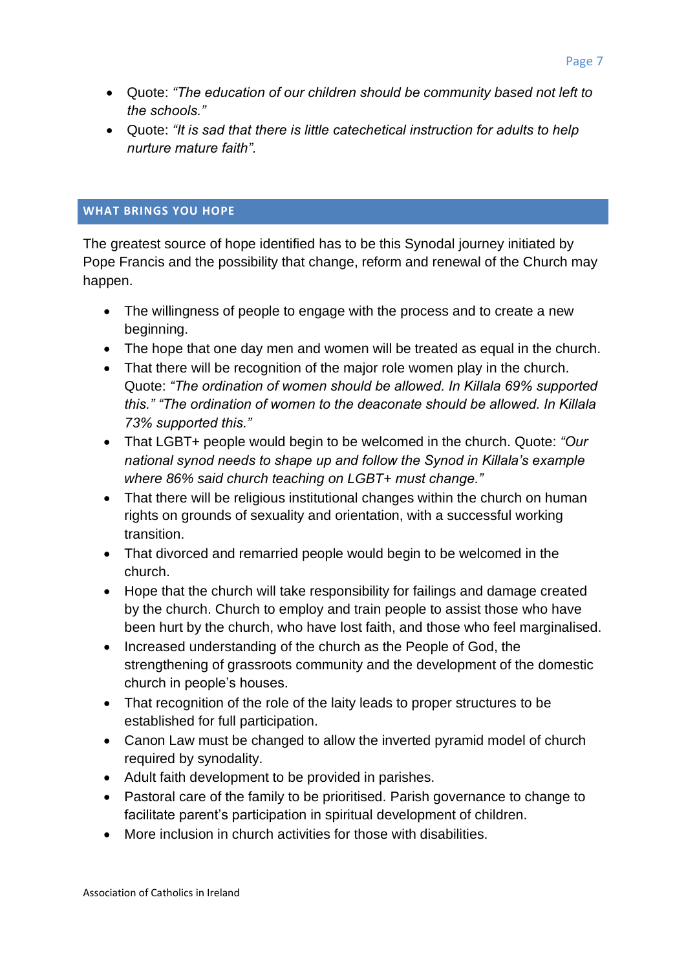- Quote: *"The education of our children should be community based not left to the schools."*
- Quote: *"It is sad that there is little catechetical instruction for adults to help nurture mature faith".*

#### <span id="page-6-0"></span>**WHAT BRINGS YOU HOPE**

The greatest source of hope identified has to be this Synodal journey initiated by Pope Francis and the possibility that change, reform and renewal of the Church may happen.

- The willingness of people to engage with the process and to create a new beginning.
- The hope that one day men and women will be treated as equal in the church.
- That there will be recognition of the major role women play in the church. Quote: *"The ordination of women should be allowed. In Killala 69% supported this." "The ordination of women to the deaconate should be allowed. In Killala 73% supported this."*
- That LGBT+ people would begin to be welcomed in the church. Quote: *"Our national synod needs to shape up and follow the Synod in Killala's example where 86% said church teaching on LGBT+ must change."*
- That there will be religious institutional changes within the church on human rights on grounds of sexuality and orientation, with a successful working transition.
- That divorced and remarried people would begin to be welcomed in the church.
- Hope that the church will take responsibility for failings and damage created by the church. Church to employ and train people to assist those who have been hurt by the church, who have lost faith, and those who feel marginalised.
- Increased understanding of the church as the People of God, the strengthening of grassroots community and the development of the domestic church in people's houses.
- That recognition of the role of the laity leads to proper structures to be established for full participation.
- Canon Law must be changed to allow the inverted pyramid model of church required by synodality.
- Adult faith development to be provided in parishes.
- Pastoral care of the family to be prioritised. Parish governance to change to facilitate parent's participation in spiritual development of children.
- More inclusion in church activities for those with disabilities.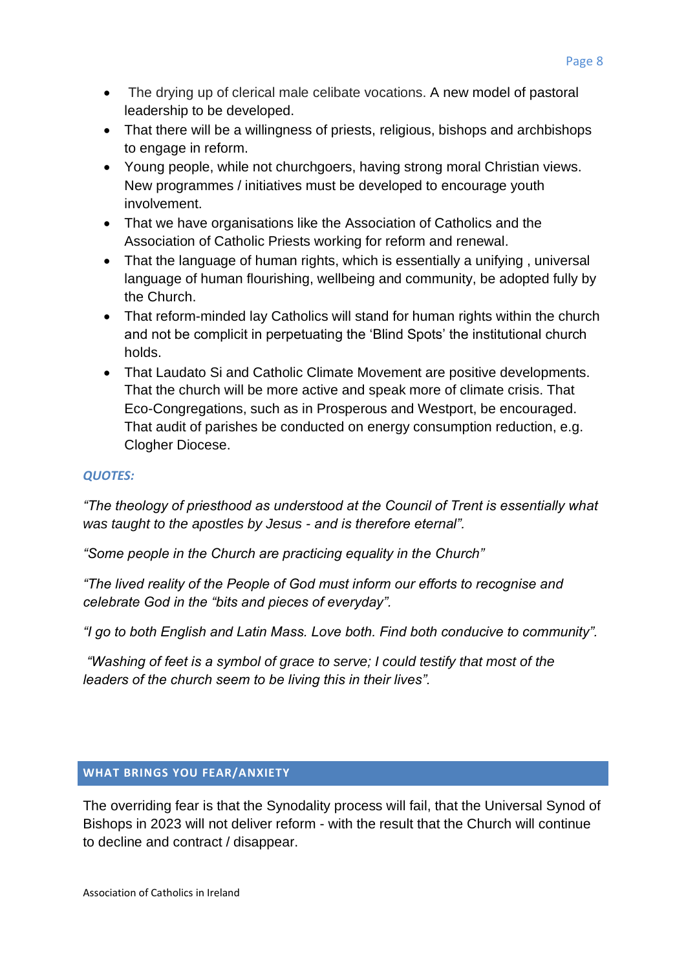- The drying up of clerical male celibate vocations. A new model of pastoral leadership to be developed.
- That there will be a willingness of priests, religious, bishops and archbishops to engage in reform.
- Young people, while not churchgoers, having strong moral Christian views. New programmes / initiatives must be developed to encourage youth involvement.
- That we have organisations like the Association of Catholics and the Association of Catholic Priests working for reform and renewal.
- That the language of human rights, which is essentially a unifying , universal language of human flourishing, wellbeing and community, be adopted fully by the Church.
- That reform-minded lay Catholics will stand for human rights within the church and not be complicit in perpetuating the 'Blind Spots' the institutional church holds.
- That Laudato Si and Catholic Climate Movement are positive developments. That the church will be more active and speak more of climate crisis. That Eco-Congregations, such as in Prosperous and Westport, be encouraged. That audit of parishes be conducted on energy consumption reduction, e.g. Clogher Diocese.

## *QUOTES:*

*"The theology of priesthood as understood at the Council of Trent is essentially what was taught to the apostles by Jesus - and is therefore eternal".*

*"Some people in the Church are practicing equality in the Church"*

*"The lived reality of the People of God must inform our efforts to recognise and celebrate God in the "bits and pieces of everyday".*

*"I go to both English and Latin Mass. Love both. Find both conducive to community".*

*"Washing of feet is a symbol of grace to serve; I could testify that most of the leaders of the church seem to be living this in their lives".*

## <span id="page-7-0"></span>**WHAT BRINGS YOU FEAR/ANXIETY**

The overriding fear is that the Synodality process will fail, that the Universal Synod of Bishops in 2023 will not deliver reform - with the result that the Church will continue to decline and contract / disappear.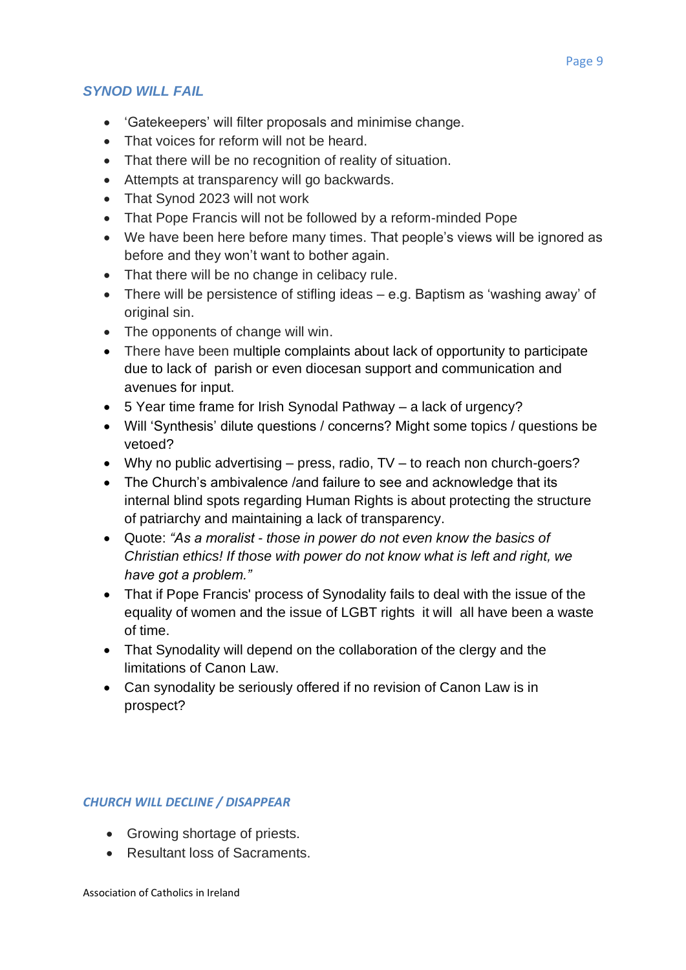# *SYNOD WILL FAIL*

- 'Gatekeepers' will filter proposals and minimise change.
- That voices for reform will not be heard.
- That there will be no recognition of reality of situation.
- Attempts at transparency will go backwards.
- That Synod 2023 will not work
- That Pope Francis will not be followed by a reform-minded Pope
- We have been here before many times. That people's views will be ignored as before and they won't want to bother again.
- That there will be no change in celibacy rule.
- There will be persistence of stifling ideas e.g. Baptism as 'washing away' of original sin.
- The opponents of change will win.
- There have been multiple complaints about lack of opportunity to participate due to lack of parish or even diocesan support and communication and avenues for input.
- 5 Year time frame for Irish Synodal Pathway a lack of urgency?
- Will 'Synthesis' dilute questions / concerns? Might some topics / questions be vetoed?
- Why no public advertising press, radio, TV to reach non church-goers?
- The Church's ambivalence /and failure to see and acknowledge that its internal blind spots regarding Human Rights is about protecting the structure of patriarchy and maintaining a lack of transparency.
- Quote: *"As a moralist - those in power do not even know the basics of Christian ethics! If those with power do not know what is left and right, we have got a problem."*
- That if Pope Francis' process of Synodality fails to deal with the issue of the equality of women and the issue of LGBT rights it will all have been a waste of time.
- That Synodality will depend on the collaboration of the clergy and the limitations of Canon Law.
- Can synodality be seriously offered if no revision of Canon Law is in prospect?

# *CHURCH WILL DECLINE / DISAPPEAR*

- Growing shortage of priests.
- Resultant loss of Sacraments.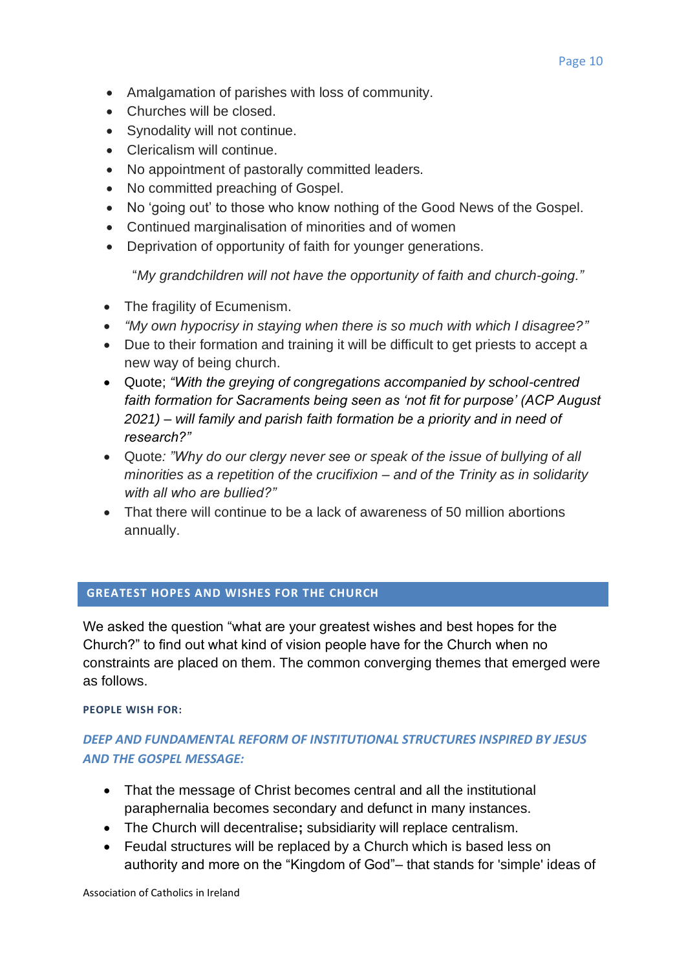- Amalgamation of parishes with loss of community.
- Churches will be closed.
- Synodality will not continue.
- Clericalism will continue.
- No appointment of pastorally committed leaders.
- No committed preaching of Gospel.
- No 'going out' to those who know nothing of the Good News of the Gospel.
- Continued marginalisation of minorities and of women
- Deprivation of opportunity of faith for younger generations.

"*My grandchildren will not have the opportunity of faith and church-going."*

- The fragility of Ecumenism.
- *"My own hypocrisy in staying when there is so much with which I disagree?"*
- Due to their formation and training it will be difficult to get priests to accept a new way of being church.
- Quote; *"With the greying of congregations accompanied by school-centred faith formation for Sacraments being seen as 'not fit for purpose' (ACP August 2021) – will family and parish faith formation be a priority and in need of research?"*
- Quote*: "Why do our clergy never see or speak of the issue of bullying of all minorities as a repetition of the crucifixion – and of the Trinity as in solidarity with all who are bullied?"*
- That there will continue to be a lack of awareness of 50 million abortions annually.

## <span id="page-9-0"></span>**GREATEST HOPES AND WISHES FOR THE CHURCH**

We asked the question "what are your greatest wishes and best hopes for the Church?" to find out what kind of vision people have for the Church when no constraints are placed on them. The common converging themes that emerged were as follows.

## **PEOPLE WISH FOR:**

# *DEEP AND FUNDAMENTAL REFORM OF INSTITUTIONAL STRUCTURES INSPIRED BY JESUS AND THE GOSPEL MESSAGE:*

- That the message of Christ becomes central and all the institutional paraphernalia becomes secondary and defunct in many instances.
- The Church will decentralise**;** subsidiarity will replace centralism.
- Feudal structures will be replaced by a Church which is based less on authority and more on the "Kingdom of God"– that stands for 'simple' ideas of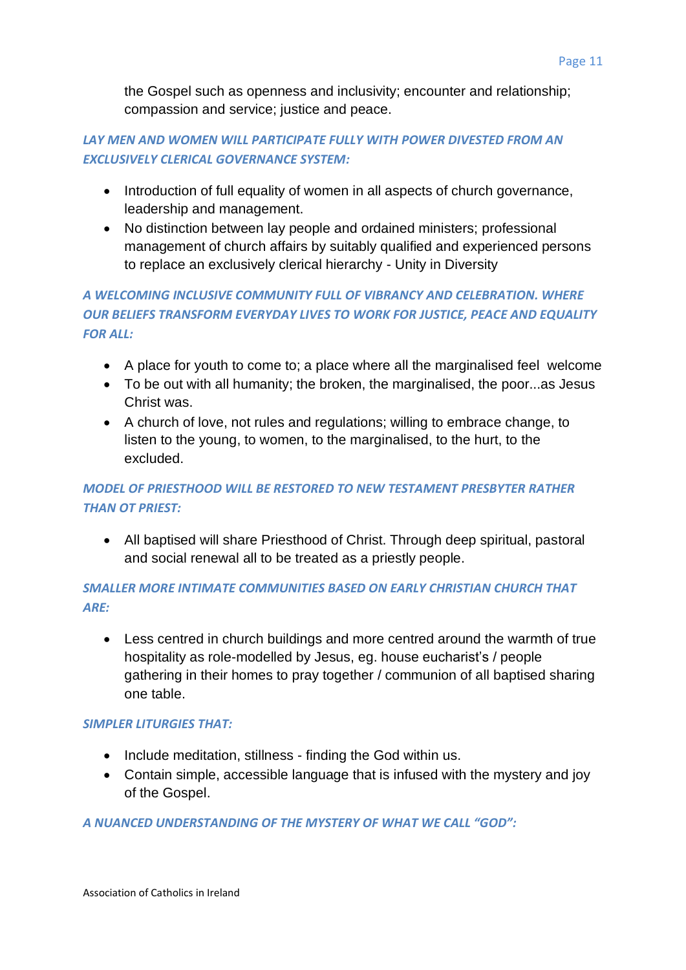the Gospel such as openness and inclusivity; encounter and relationship; compassion and service; justice and peace.

# *LAY MEN AND WOMEN WILL PARTICIPATE FULLY WITH POWER DIVESTED FROM AN EXCLUSIVELY CLERICAL GOVERNANCE SYSTEM:*

- Introduction of full equality of women in all aspects of church governance, leadership and management.
- No distinction between lay people and ordained ministers; professional management of church affairs by suitably qualified and experienced persons to replace an exclusively clerical hierarchy - Unity in Diversity

# *A WELCOMING INCLUSIVE COMMUNITY FULL OF VIBRANCY AND CELEBRATION. WHERE OUR BELIEFS TRANSFORM EVERYDAY LIVES TO WORK FOR JUSTICE, PEACE AND EQUALITY FOR ALL:*

- A place for youth to come to; a place where all the marginalised feel welcome
- To be out with all humanity; the broken, the marginalised, the poor...as Jesus Christ was.
- A church of love, not rules and regulations; willing to embrace change, to listen to the young, to women, to the marginalised, to the hurt, to the excluded.

# *MODEL OF PRIESTHOOD WILL BE RESTORED TO NEW TESTAMENT PRESBYTER RATHER THAN OT PRIEST:*

• All baptised will share Priesthood of Christ. Through deep spiritual, pastoral and social renewal all to be treated as a priestly people.

# *SMALLER MORE INTIMATE COMMUNITIES BASED ON EARLY CHRISTIAN CHURCH THAT ARE:*

• Less centred in church buildings and more centred around the warmth of true hospitality as role-modelled by Jesus, eg. house eucharist's / people gathering in their homes to pray together / communion of all baptised sharing one table.

# *SIMPLER LITURGIES THAT:*

- Include meditation, stillness finding the God within us.
- Contain simple, accessible language that is infused with the mystery and joy of the Gospel.

# *A NUANCED UNDERSTANDING OF THE MYSTERY OF WHAT WE CALL "GOD":*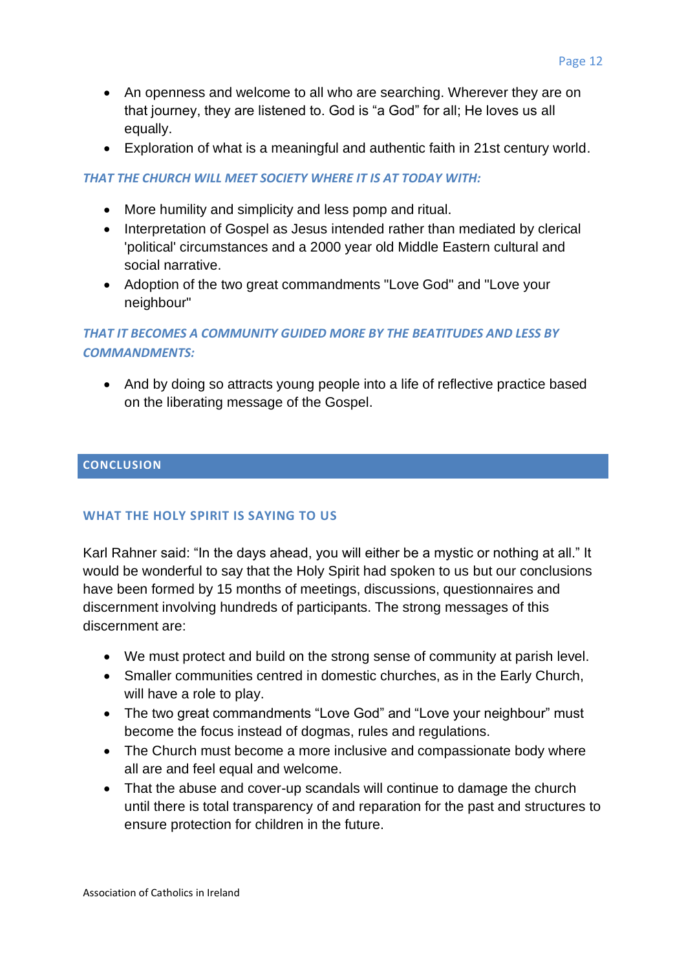- An openness and welcome to all who are searching. Wherever they are on that journey, they are listened to. God is "a God" for all; He loves us all equally.
- Exploration of what is a meaningful and authentic faith in 21st century world.

#### *THAT THE CHURCH WILL MEET SOCIETY WHERE IT IS AT TODAY WITH:*

- More humility and simplicity and less pomp and ritual.
- Interpretation of Gospel as Jesus intended rather than mediated by clerical 'political' circumstances and a 2000 year old Middle Eastern cultural and social narrative.
- Adoption of the two great commandments "Love God" and "Love your neighbour"

# *THAT IT BECOMES A COMMUNITY GUIDED MORE BY THE BEATITUDES AND LESS BY COMMANDMENTS:*

• And by doing so attracts young people into a life of reflective practice based on the liberating message of the Gospel.

#### <span id="page-11-0"></span>**CONCLUSION**

## **WHAT THE HOLY SPIRIT IS SAYING TO US**

Karl Rahner said: "In the days ahead, you will either be a mystic or nothing at all." It would be wonderful to say that the Holy Spirit had spoken to us but our conclusions have been formed by 15 months of meetings, discussions, questionnaires and discernment involving hundreds of participants. The strong messages of this discernment are:

- We must protect and build on the strong sense of community at parish level.
- Smaller communities centred in domestic churches, as in the Early Church, will have a role to play.
- The two great commandments "Love God" and "Love your neighbour" must become the focus instead of dogmas, rules and regulations.
- The Church must become a more inclusive and compassionate body where all are and feel equal and welcome.
- That the abuse and cover-up scandals will continue to damage the church until there is total transparency of and reparation for the past and structures to ensure protection for children in the future.